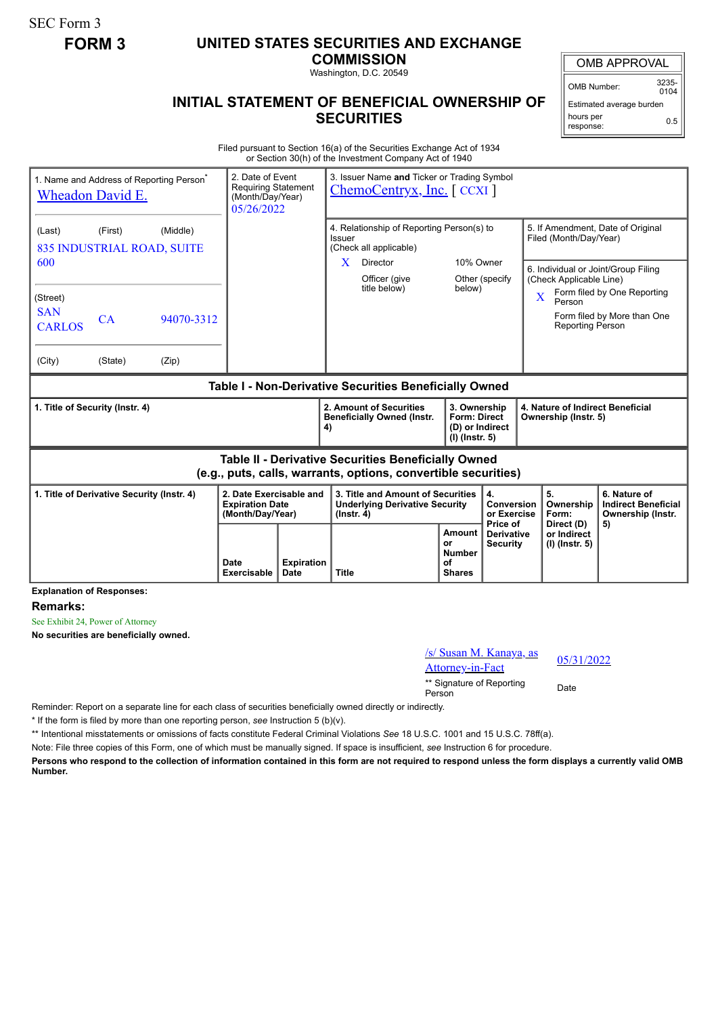SEC Form 3

## **FORM 3 UNITED STATES SECURITIES AND EXCHANGE**

**COMMISSION**

Washington, D.C. 20549

## **INITIAL STATEMENT OF BENEFICIAL OWNERSHIP OF SECURITIES**

OMB APPROVAL

OMB Number: 3235-  $0104$ 

Estimated average burden hours per response: 0.5

Filed pursuant to Section 16(a) of the Securities Exchange Act of 1934 or Section 30(h) of the Investment Company Act of 1940

| <b>Wheadon David E.</b>                                                                                               | 1. Name and Address of Reporting Person <sup>®</sup> | 2. Date of Event<br><b>Requiring Statement</b><br>(Month/Day/Year)<br>05/26/2022 |                                                                       | 3. Issuer Name and Ticker or Trading Symbol<br>$ChemoCentryx, Inc.$ [CCXI] |                                                                                                        |                                                              |                                                                            |                                                             |                                                          |                                                                                                                                    |                                                                 |
|-----------------------------------------------------------------------------------------------------------------------|------------------------------------------------------|----------------------------------------------------------------------------------|-----------------------------------------------------------------------|----------------------------------------------------------------------------|--------------------------------------------------------------------------------------------------------|--------------------------------------------------------------|----------------------------------------------------------------------------|-------------------------------------------------------------|----------------------------------------------------------|------------------------------------------------------------------------------------------------------------------------------------|-----------------------------------------------------------------|
| (Last)<br>600                                                                                                         | (First)<br>(Middle)<br>835 INDUSTRIAL ROAD, SUITE    |                                                                                  |                                                                       |                                                                            | 4. Relationship of Reporting Person(s) to<br>Issuer<br>(Check all applicable)<br>10% Owner<br>Director |                                                              |                                                                            | 5. If Amendment, Date of Original<br>Filed (Month/Day/Year) |                                                          |                                                                                                                                    |                                                                 |
| (Street)<br><b>SAN</b>                                                                                                |                                                      |                                                                                  |                                                                       |                                                                            | X.                                                                                                     | Officer (give<br>title below)                                | below)                                                                     | Other (specify                                              |                                                          | 6. Individual or Joint/Group Filing<br>(Check Applicable Line)<br>Form filed by One Reporting<br>$\overline{\mathbf{X}}$<br>Person |                                                                 |
| <b>CARLOS</b>                                                                                                         | <b>CA</b>                                            | 94070-3312                                                                       |                                                                       |                                                                            |                                                                                                        |                                                              |                                                                            |                                                             |                                                          | <b>Reporting Person</b>                                                                                                            | Form filed by More than One                                     |
| (City)                                                                                                                | (State)                                              | (Zip)                                                                            |                                                                       |                                                                            |                                                                                                        |                                                              |                                                                            |                                                             |                                                          |                                                                                                                                    |                                                                 |
| Table I - Non-Derivative Securities Beneficially Owned                                                                |                                                      |                                                                                  |                                                                       |                                                                            |                                                                                                        |                                                              |                                                                            |                                                             |                                                          |                                                                                                                                    |                                                                 |
| 1. Title of Security (Instr. 4)                                                                                       |                                                      |                                                                                  |                                                                       |                                                                            | 4)                                                                                                     | 2. Amount of Securities<br><b>Beneficially Owned (Instr.</b> | 3. Ownership<br><b>Form: Direct</b><br>(D) or Indirect<br>$(I)$ (lnstr. 5) |                                                             | 4. Nature of Indirect Beneficial<br>Ownership (Instr. 5) |                                                                                                                                    |                                                                 |
| Table II - Derivative Securities Beneficially Owned<br>(e.g., puts, calls, warrants, options, convertible securities) |                                                      |                                                                                  |                                                                       |                                                                            |                                                                                                        |                                                              |                                                                            |                                                             |                                                          |                                                                                                                                    |                                                                 |
|                                                                                                                       | 1. Title of Derivative Security (Instr. 4)           |                                                                                  | 2. Date Exercisable and<br><b>Expiration Date</b><br>(Month/Day/Year) |                                                                            | 3. Title and Amount of Securities<br><b>Underlying Derivative Security</b><br>$($ lnstr. 4 $)$         |                                                              | 4.                                                                         |                                                             |                                                          | 5.<br>Ownership<br>Form:<br>Direct (D)                                                                                             | 6. Nature of<br><b>Indirect Beneficial</b><br>Ownership (Instr. |
|                                                                                                                       |                                                      |                                                                                  |                                                                       |                                                                            |                                                                                                        |                                                              |                                                                            | <b>Conversion</b><br>or Exercise<br>Price of                |                                                          |                                                                                                                                    | 5)                                                              |

**Explanation of Responses:**

**Remarks:**

See Exhibit 24, Power of Attorney

**No securities are beneficially owned.**

| /s/ Susan M. Kanaya, as<br><b>Attorney-in-Fact</b> | 05/3 |
|----------------------------------------------------|------|
| ** Signature of Reporting<br>Person                | Date |

05/31/2022

Reminder: Report on a separate line for each class of securities beneficially owned directly or indirectly.

\* If the form is filed by more than one reporting person, *see* Instruction 5 (b)(v).

\*\* Intentional misstatements or omissions of facts constitute Federal Criminal Violations *See* 18 U.S.C. 1001 and 15 U.S.C. 78ff(a).

Note: File three copies of this Form, one of which must be manually signed. If space is insufficient, *see* Instruction 6 for procedure.

**Persons who respond to the collection of information contained in this form are not required to respond unless the form displays a currently valid OMB Number.**